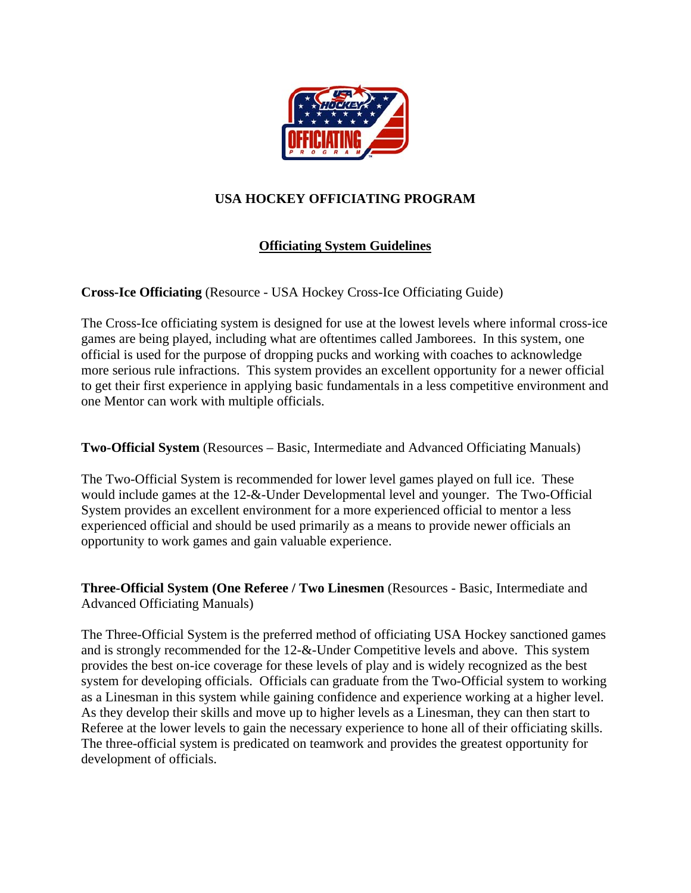

## **USA HOCKEY OFFICIATING PROGRAM**

## **Officiating System Guidelines**

**Cross-Ice Officiating** (Resource - USA Hockey Cross-Ice Officiating Guide)

The Cross-Ice officiating system is designed for use at the lowest levels where informal cross-ice games are being played, including what are oftentimes called Jamborees. In this system, one official is used for the purpose of dropping pucks and working with coaches to acknowledge more serious rule infractions. This system provides an excellent opportunity for a newer official to get their first experience in applying basic fundamentals in a less competitive environment and one Mentor can work with multiple officials.

**Two-Official System** (Resources – Basic, Intermediate and Advanced Officiating Manuals)

The Two-Official System is recommended for lower level games played on full ice. These would include games at the 12-&-Under Developmental level and younger. The Two-Official System provides an excellent environment for a more experienced official to mentor a less experienced official and should be used primarily as a means to provide newer officials an opportunity to work games and gain valuable experience.

**Three-Official System (One Referee / Two Linesmen** (Resources - Basic, Intermediate and Advanced Officiating Manuals)

The Three-Official System is the preferred method of officiating USA Hockey sanctioned games and is strongly recommended for the 12-&-Under Competitive levels and above. This system provides the best on-ice coverage for these levels of play and is widely recognized as the best system for developing officials. Officials can graduate from the Two-Official system to working as a Linesman in this system while gaining confidence and experience working at a higher level. As they develop their skills and move up to higher levels as a Linesman, they can then start to Referee at the lower levels to gain the necessary experience to hone all of their officiating skills. The three-official system is predicated on teamwork and provides the greatest opportunity for development of officials.